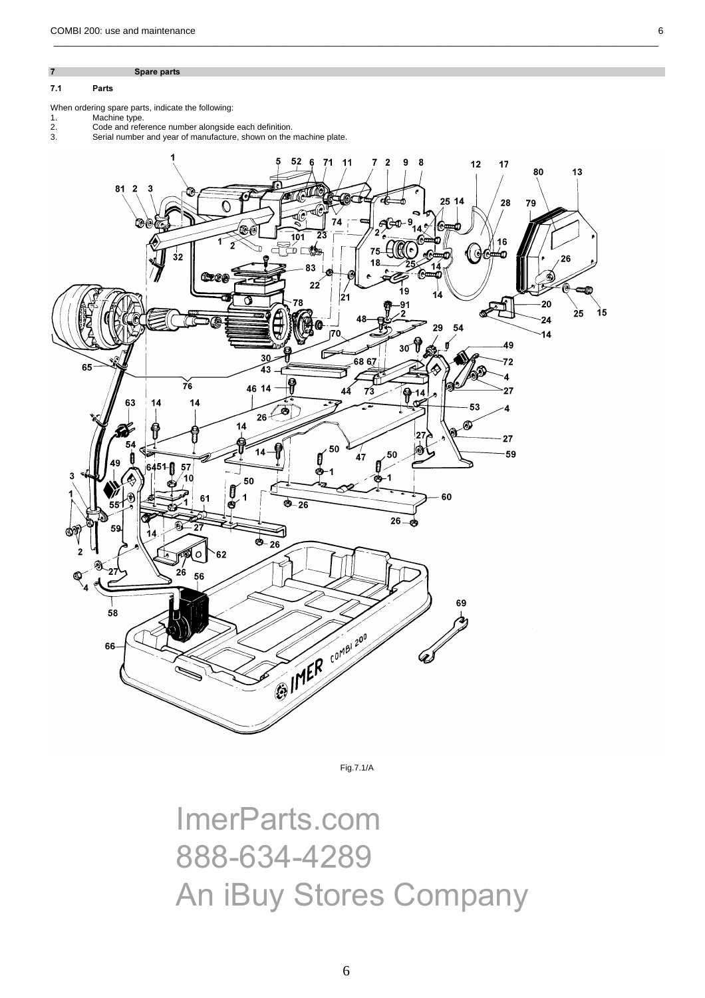7 Spare parts

## 7.1 Parts

- Machine type.
- When ordering spare parts, indicate the following:<br>
1. Machine type.<br>
2. Code and reference number alongside<br>
3. Serial number and year of manufacture 2. Code and reference number alongside each definition.
- 3. Serial number and year of manufacture, shown on the machine plate.



\_\_\_\_\_\_\_\_\_\_\_\_\_\_\_\_\_\_\_\_\_\_\_\_\_\_\_\_\_\_\_\_\_\_\_\_\_\_\_\_\_\_\_\_\_\_\_\_\_\_\_\_\_\_\_\_\_\_\_\_\_\_\_\_\_\_\_\_\_\_\_\_\_\_\_\_\_\_\_\_\_\_\_\_\_\_\_\_\_\_\_\_\_\_\_\_\_\_\_\_\_\_\_\_\_\_\_\_\_\_\_\_\_\_\_

Fig.7.1/A

ImerParts.com 888-634-4289 An iBuy Stores Company 6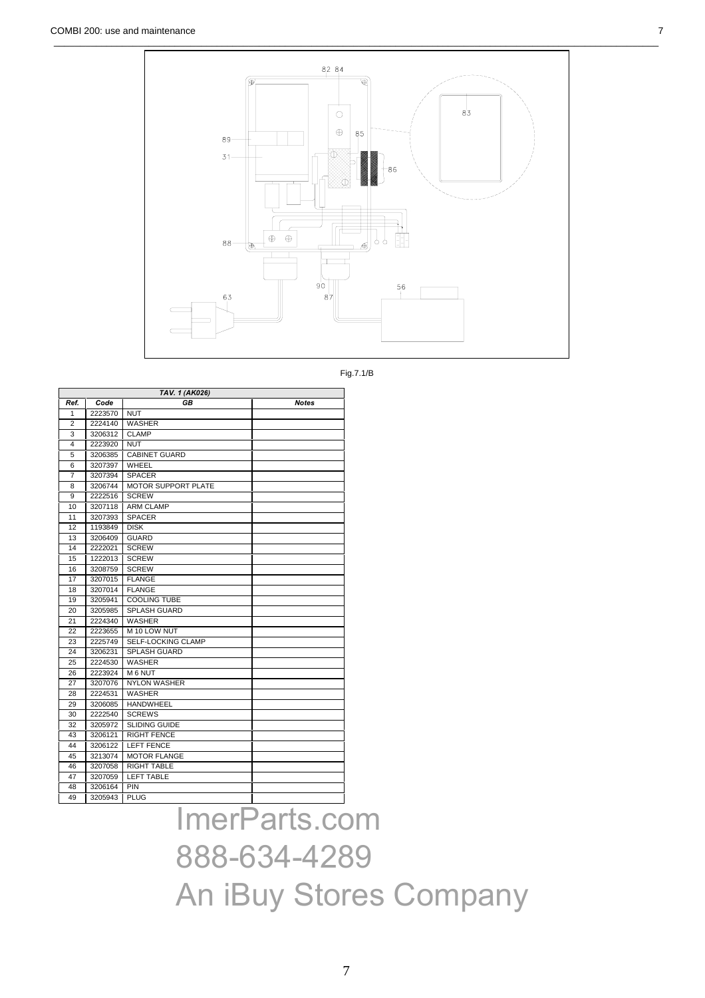

Fig.7.1/B

| TAV. 1 (AK026) |         |                            |       |  |  |  |
|----------------|---------|----------------------------|-------|--|--|--|
| Ref.           | Code    | GB                         | Notes |  |  |  |
| 1              | 2223570 | <b>NUT</b>                 |       |  |  |  |
| $\overline{2}$ | 2224140 | <b>WASHER</b>              |       |  |  |  |
| 3              | 3206312 | <b>CLAMP</b>               |       |  |  |  |
| 4              | 2223920 | <b>NUT</b>                 |       |  |  |  |
| 5              | 3206385 | <b>CABINET GUARD</b>       |       |  |  |  |
| 6              | 3207397 | WHEEL                      |       |  |  |  |
| 7              | 3207394 | <b>SPACER</b>              |       |  |  |  |
| 8              | 3206744 | <b>MOTOR SUPPORT PLATE</b> |       |  |  |  |
| 9              | 2222516 | <b>SCREW</b>               |       |  |  |  |
| 10             | 3207118 | <b>ARM CLAMP</b>           |       |  |  |  |
| 11             | 3207393 | <b>SPACER</b>              |       |  |  |  |
| 12             | 1193849 | <b>DISK</b>                |       |  |  |  |
| 13             | 3206409 | <b>GUARD</b>               |       |  |  |  |
| 14             | 2222021 | <b>SCREW</b>               |       |  |  |  |
| 15             | 1222013 | <b>SCREW</b>               |       |  |  |  |
| 16             | 3208759 | <b>SCREW</b>               |       |  |  |  |
| 17             | 3207015 | <b>FLANGE</b>              |       |  |  |  |
| 18             | 3207014 | <b>FLANGE</b>              |       |  |  |  |
| 19             | 3205941 | <b>COOLING TUBE</b>        |       |  |  |  |
| 20             | 3205985 | <b>SPLASH GUARD</b>        |       |  |  |  |
| 21             | 2224340 | <b>WASHER</b>              |       |  |  |  |
| 22             | 2223655 | M 10 LOW NUT               |       |  |  |  |
| 23             | 2225749 | <b>SELF-LOCKING CLAMP</b>  |       |  |  |  |
| 24             | 3206231 | <b>SPLASH GUARD</b>        |       |  |  |  |
| 25             | 2224530 | <b>WASHER</b>              |       |  |  |  |
| 26             | 2223924 | M 6 NUT                    |       |  |  |  |
| 27             | 3207076 | <b>NYLON WASHER</b>        |       |  |  |  |
| 28             | 2224531 | <b>WASHER</b>              |       |  |  |  |
| 29             | 3206085 | <b>HANDWHEEL</b>           |       |  |  |  |
| 30             | 2222540 | <b>SCREWS</b>              |       |  |  |  |
| 32             | 3205972 | <b>SLIDING GUIDE</b>       |       |  |  |  |
| 43             | 3206121 | <b>RIGHT FENCE</b>         |       |  |  |  |
| 44             | 3206122 | <b>LEFT FENCE</b>          |       |  |  |  |
| 45             | 3213074 | <b>MOTOR FLANGE</b>        |       |  |  |  |
| 46             | 3207058 | <b>RIGHT TABLE</b>         |       |  |  |  |
| 47             | 3207059 | <b>LEFT TABLE</b>          |       |  |  |  |
| 48             | 3206164 | PIN                        |       |  |  |  |
| 49             | 3205943 | <b>PLUG</b>                |       |  |  |  |

ImerParts.com 888-634-4289 An iBuy Stores Company